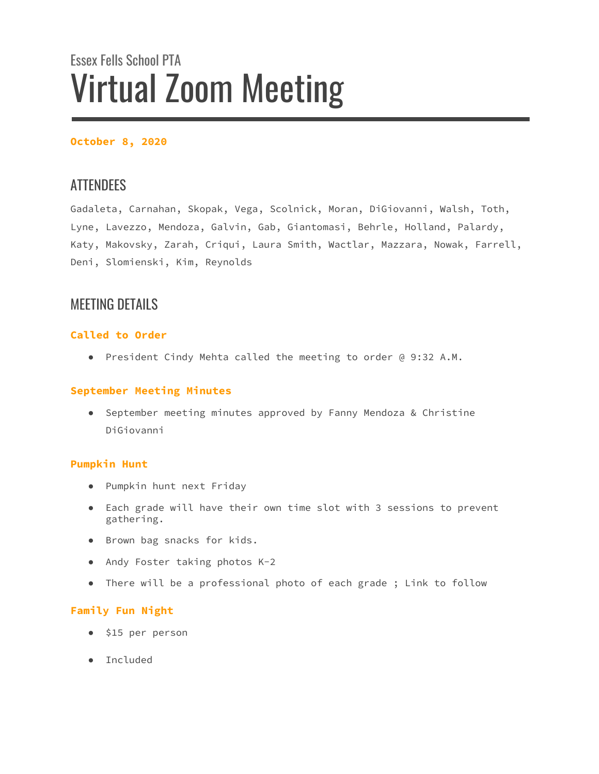# Essex Fells School PTA Virtual Zoom Meeting

# **October 8, 2020**

# **ATTENDEES**

Gadaleta, Carnahan, Skopak, Vega, Scolnick, Moran, DiGiovanni, Walsh, Toth, Lyne, Lavezzo, Mendoza, Galvin, Gab, Giantomasi, Behrle, Holland, Palardy, Katy, Makovsky, Zarah, Criqui, Laura Smith, Wactlar, Mazzara, Nowak, Farrell, Deni, Slomienski, Kim, Reynolds

# MEETING DETAILS

# **Called to Order**

● President Cindy Mehta called the meeting to order @ 9:32 A.M.

# **September Meeting Minutes**

● September meeting minutes approved by Fanny Mendoza & Christine DiGiovanni

# **Pumpkin Hunt**

- Pumpkin hunt next Friday
- Each grade will have their own time slot with 3 sessions to prevent gathering.
- Brown bag snacks for kids.
- Andy Foster taking photos K-2
- There will be a professional photo of each grade ; Link to follow

# **Family Fun Night**

- \$15 per person
- Included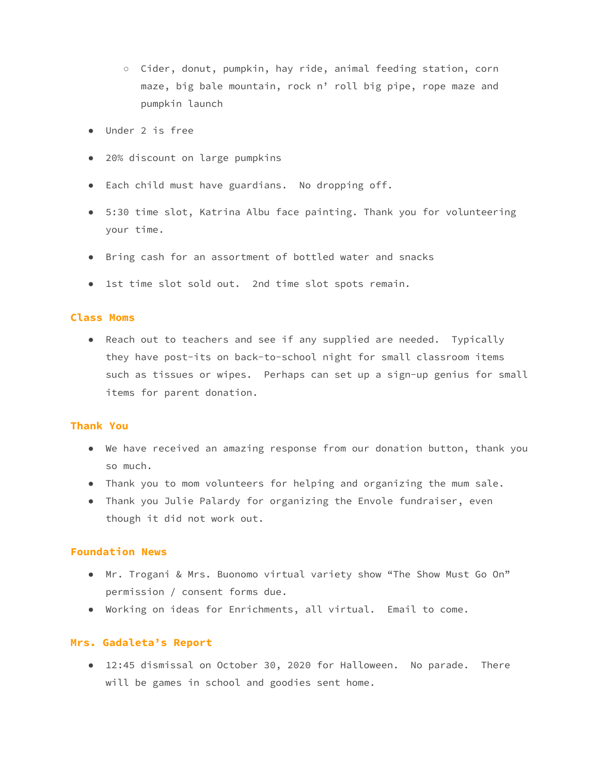- Cider, donut, pumpkin, hay ride, animal feeding station, corn maze, big bale mountain, rock n' roll big pipe, rope maze and pumpkin launch
- Under 2 is free
- 20% discount on large pumpkins
- Each child must have guardians. No dropping off.
- 5:30 time slot, Katrina Albu face painting. Thank you for volunteering your time.
- Bring cash for an assortment of bottled water and snacks
- 1st time slot sold out. 2nd time slot spots remain.

## **Class Moms**

● Reach out to teachers and see if any supplied are needed. Typically they have post-its on back-to-school night for small classroom items such as tissues or wipes. Perhaps can set up a sign-up genius for small items for parent donation.

#### **Thank You**

- We have received an amazing response from our donation button, thank you so much.
- Thank you to mom volunteers for helping and organizing the mum sale.
- Thank you Julie Palardy for organizing the Envole fundraiser, even though it did not work out.

#### **Foundation News**

- Mr. Trogani & Mrs. Buonomo virtual variety show "The Show Must Go On" permission / consent forms due.
- Working on ideas for Enrichments, all virtual. Email to come.

#### **Mrs. Gadaleta's Report**

● 12:45 dismissal on October 30, 2020 for Halloween. No parade. There will be games in school and goodies sent home.